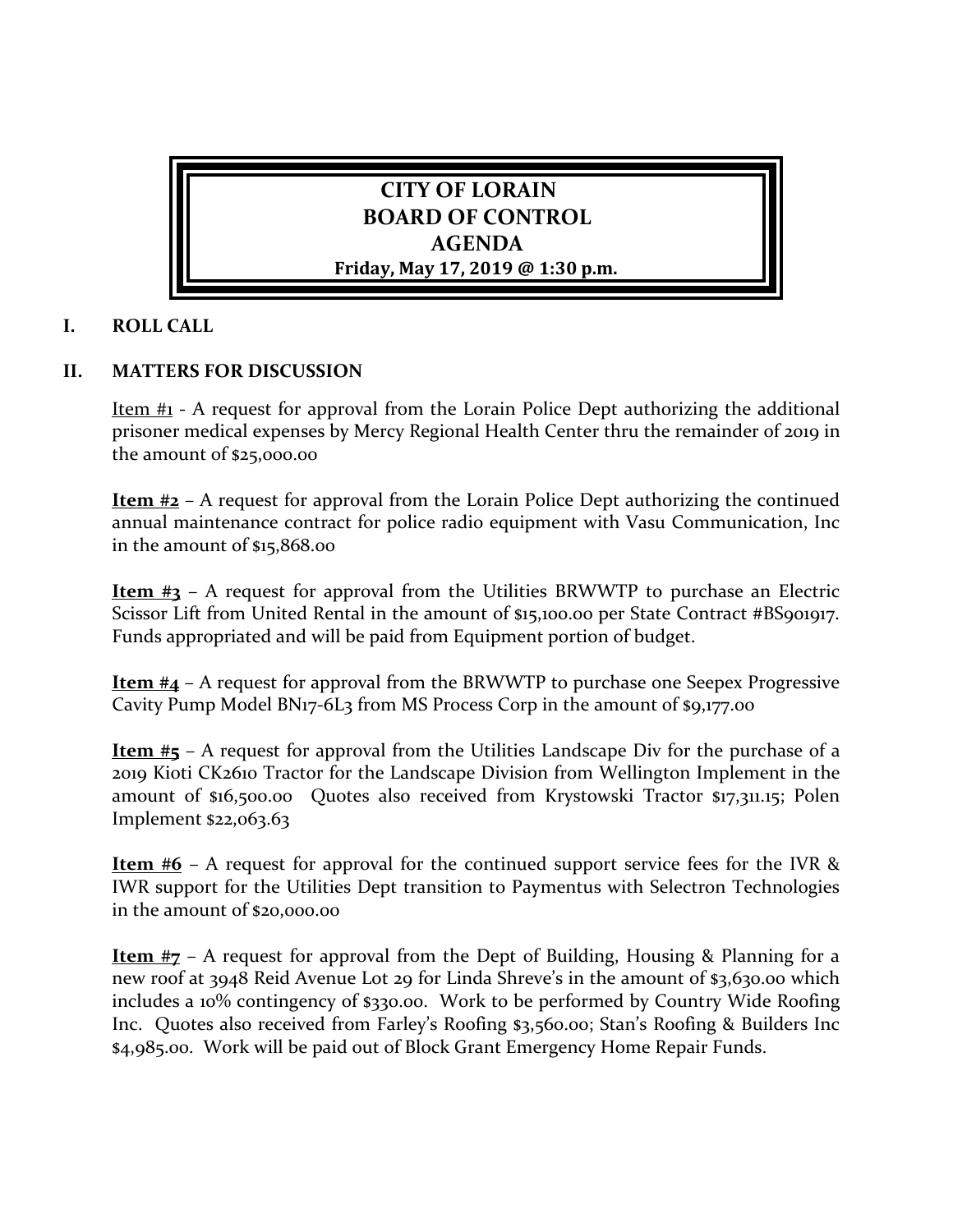

## **I. ROLL CALL**

## **II. MATTERS FOR DISCUSSION**

Item #1 - A request for approval from the Lorain Police Dept authorizing the additional prisoner medical expenses by Mercy Regional Health Center thru the remainder of 2019 in the amount of \$25,000.00

**Item #2** – A request for approval from the Lorain Police Dept authorizing the continued annual maintenance contract for police radio equipment with Vasu Communication, Inc in the amount of \$15,868.00

**Item #3** – A request for approval from the Utilities BRWWTP to purchase an Electric Scissor Lift from United Rental in the amount of \$15,100.00 per State Contract #BS901917. Funds appropriated and will be paid from Equipment portion of budget.

**Item #4** – A request for approval from the BRWWTP to purchase one Seepex Progressive Cavity Pump Model BN17-6L3 from MS Process Corp in the amount of \$9,177.00

**Item #5** – A request for approval from the Utilities Landscape Div for the purchase of a 2019 Kioti CK2610 Tractor for the Landscape Division from Wellington Implement in the amount of \$16,500.00 Quotes also received from Krystowski Tractor \$17,311.15; Polen Implement \$22,063.63

**Item #6** – A request for approval for the continued support service fees for the IVR & IWR support for the Utilities Dept transition to Paymentus with Selectron Technologies in the amount of \$20,000.00

**Item #7** – A request for approval from the Dept of Building, Housing & Planning for a new roof at 3948 Reid Avenue Lot 29 for Linda Shreve's in the amount of \$3,630.00 which includes a 10% contingency of \$330.00. Work to be performed by Country Wide Roofing Inc. Quotes also received from Farley's Roofing \$3,560.00; Stan's Roofing & Builders Inc \$4,985.00. Work will be paid out of Block Grant Emergency Home Repair Funds.